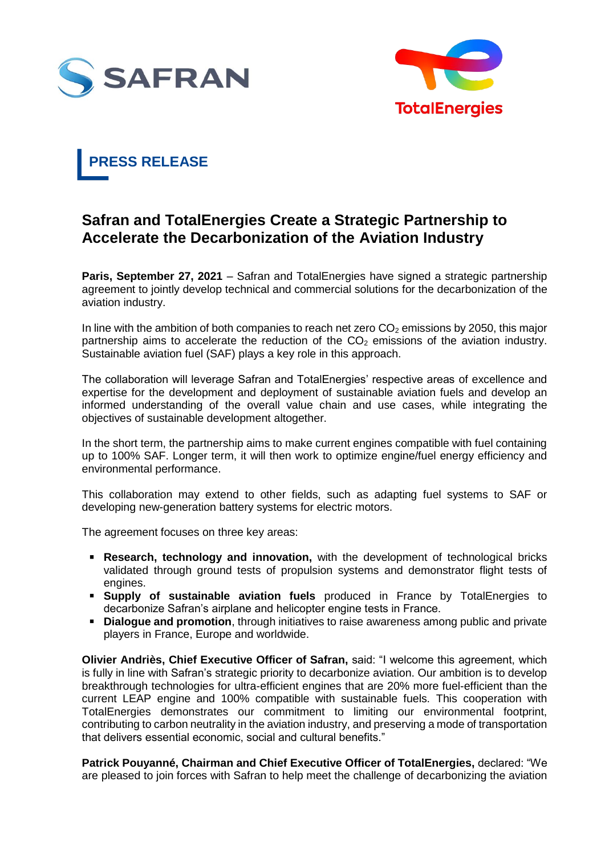



# **PRESS RELEASE**

# **Safran and TotalEnergies Create a Strategic Partnership to Accelerate the Decarbonization of the Aviation Industry**

**Paris, September 27, 2021** – Safran and TotalEnergies have signed a strategic partnership agreement to jointly develop technical and commercial solutions for the decarbonization of the aviation industry.

In line with the ambition of both companies to reach net zero  $CO<sub>2</sub>$  emissions by 2050, this major partnership aims to accelerate the reduction of the  $CO<sub>2</sub>$  emissions of the aviation industry. Sustainable aviation fuel (SAF) plays a key role in this approach.

The collaboration will leverage Safran and TotalEnergies' respective areas of excellence and expertise for the development and deployment of sustainable aviation fuels and develop an informed understanding of the overall value chain and use cases, while integrating the objectives of sustainable development altogether.

In the short term, the partnership aims to make current engines compatible with fuel containing up to 100% SAF. Longer term, it will then work to optimize engine/fuel energy efficiency and environmental performance.

This collaboration may extend to other fields, such as adapting fuel systems to SAF or developing new-generation battery systems for electric motors.

The agreement focuses on three key areas:

- **Research, technology and innovation,** with the development of technological bricks validated through ground tests of propulsion systems and demonstrator flight tests of engines.
- **Supply of sustainable aviation fuels** produced in France by TotalEnergies to decarbonize Safran's airplane and helicopter engine tests in France.
- **Dialogue and promotion**, through initiatives to raise awareness among public and private players in France, Europe and worldwide.

**Olivier Andriès, Chief Executive Officer of Safran,** said: "I welcome this agreement, which is fully in line with Safran's strategic priority to decarbonize aviation. Our ambition is to develop breakthrough technologies for ultra-efficient engines that are 20% more fuel-efficient than the current LEAP engine and 100% compatible with sustainable fuels. This cooperation with TotalEnergies demonstrates our commitment to limiting our environmental footprint, contributing to carbon neutrality in the aviation industry, and preserving a mode of transportation that delivers essential economic, social and cultural benefits."

**Patrick Pouyanné, Chairman and Chief Executive Officer of TotalEnergies,** declared: "We are pleased to join forces with Safran to help meet the challenge of decarbonizing the aviation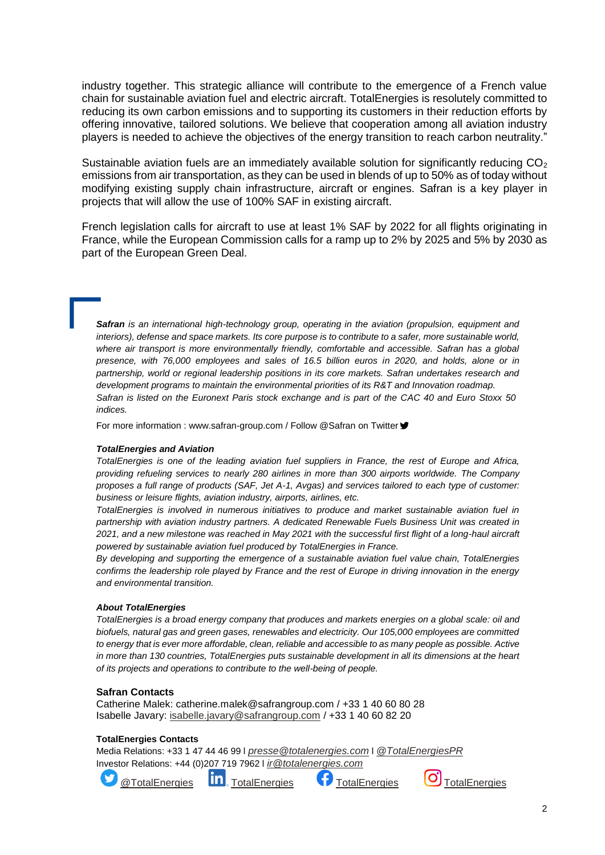industry together. This strategic alliance will contribute to the emergence of a French value chain for sustainable aviation fuel and electric aircraft. TotalEnergies is resolutely committed to reducing its own carbon emissions and to supporting its customers in their reduction efforts by offering innovative, tailored solutions. We believe that cooperation among all aviation industry players is needed to achieve the objectives of the energy transition to reach carbon neutrality."

Sustainable aviation fuels are an immediately available solution for significantly reducing CO<sub>2</sub> emissions from air transportation, as they can be used in blends of up to 50% as of today without modifying existing supply chain infrastructure, aircraft or engines. Safran is a key player in projects that will allow the use of 100% SAF in existing aircraft.

French legislation calls for aircraft to use at least 1% SAF by 2022 for all flights originating in France, while the European Commission calls for a ramp up to 2% by 2025 and 5% by 2030 as part of the European Green Deal.

*Safran is an international high-technology group, operating in the aviation (propulsion, equipment and interiors), defense and space markets. Its core purpose is to contribute to a safer, more sustainable world, where air transport is more environmentally friendly, comfortable and accessible. Safran has a global presence, with 76,000 employees and sales of 16.5 billion euros in 2020, and holds, alone or in partnership, world or regional leadership positions in its core markets. Safran undertakes research and development programs to maintain the environmental priorities of its R&T and Innovation roadmap. Safran is listed on the Euronext Paris stock exchange and is part of the CAC 40 and Euro Stoxx 50 indices.*

For more information : www.safran-group.com / Follow @Safran on Twitter ♥

## *TotalEnergies and Aviation*

*TotalEnergies is one of the leading aviation fuel suppliers in France, the rest of Europe and Africa, providing refueling services to nearly 280 airlines in more than 300 airports worldwide. The Company proposes a full range of products (SAF, Jet A-1, Avgas) and services tailored to each type of customer: business or leisure flights, aviation industry, airports, airlines, etc.*

*TotalEnergies is involved in numerous initiatives to produce and market sustainable aviation fuel in partnership with aviation industry partners. A dedicated Renewable Fuels Business Unit was created in 2021, and a new milestone was reached in May 2021 with the successful first flight of a long-haul aircraft powered by sustainable aviation fuel produced by TotalEnergies in France.*

*By developing and supporting the emergence of a sustainable aviation fuel value chain, TotalEnergies confirms the leadership role played by France and the rest of Europe in driving innovation in the energy and environmental transition.*

#### *About TotalEnergies*

*TotalEnergies is a broad energy company that produces and markets energies on a global scale: oil and biofuels, natural gas and green gases, renewables and electricity. Our 105,000 employees are committed to energy that is ever more affordable, clean, reliable and accessible to as many people as possible. Active in more than 130 countries, TotalEnergies puts sustainable development in all its dimensions at the heart of its projects and operations to contribute to the well-being of people.*

## **Safran Contacts**

Catherine Malek: catherine.malek@safrangroup.com / +33 1 40 60 80 28 Isabelle Javary: [isabelle.javary@safrangroup.com](mailto:isabelle.javary@safrangroup.com) / +33 1 40 60 82 20

# **TotalEnergies Contacts**

Media Relations: +33 1 47 44 46 99 l *[presse@totalenergies.com](mailto:presse@totalenergies.com)* l *[@TotalEnergiesPR](https://twitter.com/TotalEnergiesPR)* Investor Relations: +44 (0)207 719 7962 l *[ir@totalenergies.com](mailto:ir@totalenergies.com)*